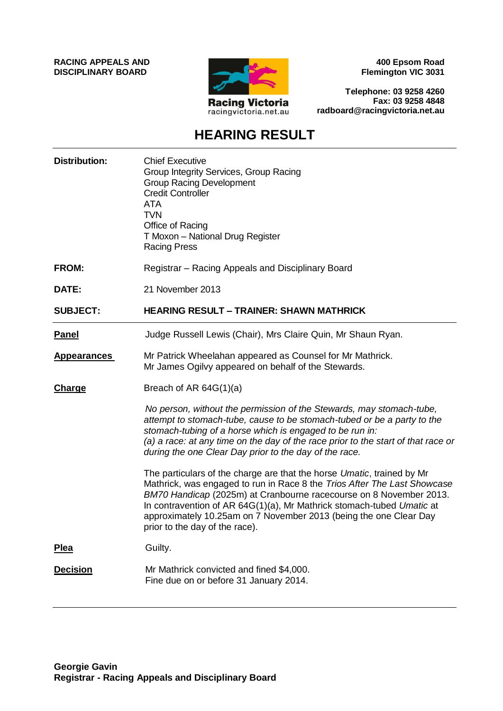**RACING APPEALS AND DISCIPLINARY BOARD**



**400 Epsom Road Flemington VIC 3031**

**Telephone: 03 9258 4260 Fax: 03 9258 4848 radboard@racingvictoria.net.au**

## **HEARING RESULT**

| <b>Distribution:</b> | <b>Chief Executive</b><br>Group Integrity Services, Group Racing<br><b>Group Racing Development</b><br><b>Credit Controller</b><br><b>ATA</b><br><b>TVN</b><br>Office of Racing<br>T Moxon - National Drug Register<br><b>Racing Press</b>                                                                                                                                                               |
|----------------------|----------------------------------------------------------------------------------------------------------------------------------------------------------------------------------------------------------------------------------------------------------------------------------------------------------------------------------------------------------------------------------------------------------|
| FROM:                | Registrar - Racing Appeals and Disciplinary Board                                                                                                                                                                                                                                                                                                                                                        |
| DATE:                | 21 November 2013                                                                                                                                                                                                                                                                                                                                                                                         |
| <b>SUBJECT:</b>      | <b>HEARING RESULT - TRAINER: SHAWN MATHRICK</b>                                                                                                                                                                                                                                                                                                                                                          |
| <b>Panel</b>         | Judge Russell Lewis (Chair), Mrs Claire Quin, Mr Shaun Ryan.                                                                                                                                                                                                                                                                                                                                             |
| <b>Appearances</b>   | Mr Patrick Wheelahan appeared as Counsel for Mr Mathrick.<br>Mr James Ogilvy appeared on behalf of the Stewards.                                                                                                                                                                                                                                                                                         |
| <b>Charge</b>        | Breach of AR $64G(1)(a)$                                                                                                                                                                                                                                                                                                                                                                                 |
|                      | No person, without the permission of the Stewards, may stomach-tube,<br>attempt to stomach-tube, cause to be stomach-tubed or be a party to the<br>stomach-tubing of a horse which is engaged to be run in:<br>(a) a race: at any time on the day of the race prior to the start of that race or<br>during the one Clear Day prior to the day of the race.                                               |
|                      | The particulars of the charge are that the horse Umatic, trained by Mr<br>Mathrick, was engaged to run in Race 8 the Trios After The Last Showcase<br>BM70 Handicap (2025m) at Cranbourne racecourse on 8 November 2013.<br>In contravention of AR 64G(1)(a), Mr Mathrick stomach-tubed Umatic at<br>approximately 10.25am on 7 November 2013 (being the one Clear Day<br>prior to the day of the race). |
| <b>Plea</b>          | Guilty.                                                                                                                                                                                                                                                                                                                                                                                                  |
| <b>Decision</b>      | Mr Mathrick convicted and fined \$4,000.<br>Fine due on or before 31 January 2014.                                                                                                                                                                                                                                                                                                                       |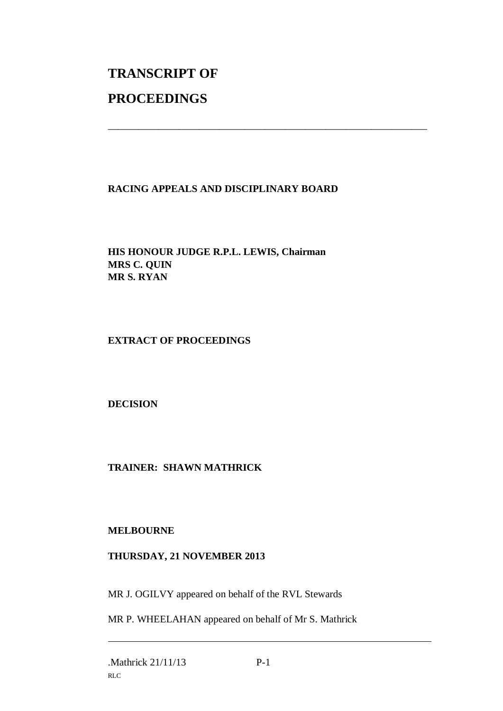# **TRANSCRIPT OF PROCEEDINGS**

### **RACING APPEALS AND DISCIPLINARY BOARD**

\_\_\_\_\_\_\_\_\_\_\_\_\_\_\_\_\_\_\_\_\_\_\_\_\_\_\_\_\_\_\_\_\_\_\_\_\_\_\_\_\_\_\_\_\_\_\_\_\_\_\_\_\_\_\_\_\_\_\_\_\_\_\_

**HIS HONOUR JUDGE R.P.L. LEWIS, Chairman MRS C. QUIN MR S. RYAN**

### **EXTRACT OF PROCEEDINGS**

### **DECISION**

### **TRAINER: SHAWN MATHRICK**

#### **MELBOURNE**

### **THURSDAY, 21 NOVEMBER 2013**

MR J. OGILVY appeared on behalf of the RVL Stewards

MR P. WHEELAHAN appeared on behalf of Mr S. Mathrick